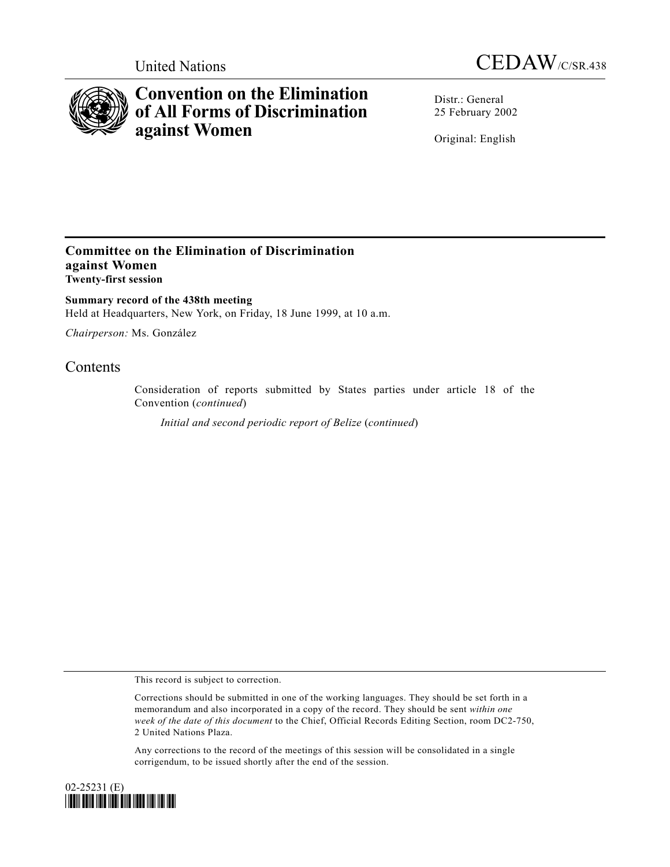



## **Convention on the Elimination of All Forms of Discrimination against Women**

Distr · General 25 February 2002

Original: English

## **Committee on the Elimination of Discrimination against Women Twenty-first session**

**Summary record of the 438th meeting** Held at Headquarters, New York, on Friday, 18 June 1999, at 10 a.m.

*Chairperson:* Ms. González

## **Contents**

Consideration of reports submitted by States parties under article 18 of the Convention (*continued*)

*Initial and second periodic report of Belize* (*continued*)

This record is subject to correction.

Any corrections to the record of the meetings of this session will be consolidated in a single corrigendum, to be issued shortly after the end of the session.



Corrections should be submitted in one of the working languages. They should be set forth in a memorandum and also incorporated in a copy of the record. They should be sent *within one week of the date of this document* to the Chief, Official Records Editing Section, room DC2-750, 2 United Nations Plaza.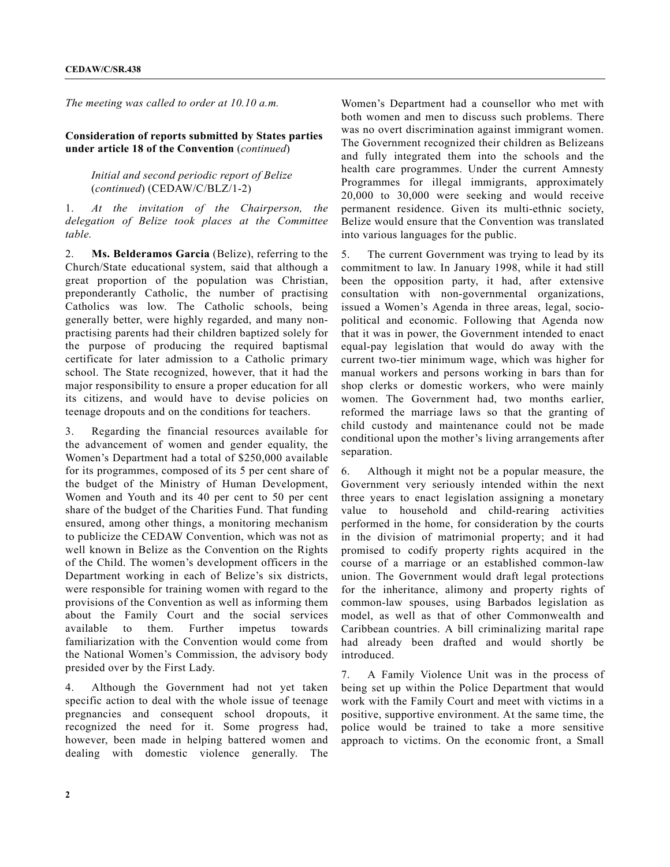*The meeting was called to order at 10.10 a.m.*

**Consideration of reports submitted by States parties under article 18 of the Convention** (*continued*)

## *Initial and second periodic report of Belize* (*continued*) (CEDAW/C/BLZ/1-2)

1. *At the invitation of the Chairperson, the delegation of Belize took places at the Committee table.*

2. **Ms. Belderamos Garcia** (Belize), referring to the Church/State educational system, said that although a great proportion of the population was Christian, preponderantly Catholic, the number of practising Catholics was low. The Catholic schools, being generally better, were highly regarded, and many nonpractising parents had their children baptized solely for the purpose of producing the required baptismal certificate for later admission to a Catholic primary school. The State recognized, however, that it had the major responsibility to ensure a proper education for all its citizens, and would have to devise policies on teenage dropouts and on the conditions for teachers.

3. Regarding the financial resources available for the advancement of women and gender equality, the Women's Department had a total of \$250,000 available for its programmes, composed of its 5 per cent share of the budget of the Ministry of Human Development, Women and Youth and its 40 per cent to 50 per cent share of the budget of the Charities Fund. That funding ensured, among other things, a monitoring mechanism to publicize the CEDAW Convention, which was not as well known in Belize as the Convention on the Rights of the Child. The women's development officers in the Department working in each of Belize's six districts, were responsible for training women with regard to the provisions of the Convention as well as informing them about the Family Court and the social services available to them. Further impetus towards familiarization with the Convention would come from the National Women's Commission, the advisory body presided over by the First Lady.

4. Although the Government had not yet taken specific action to deal with the whole issue of teenage pregnancies and consequent school dropouts, it recognized the need for it. Some progress had, however, been made in helping battered women and dealing with domestic violence generally. The Women's Department had a counsellor who met with both women and men to discuss such problems. There was no overt discrimination against immigrant women. The Government recognized their children as Belizeans and fully integrated them into the schools and the health care programmes. Under the current Amnesty Programmes for illegal immigrants, approximately 20,000 to 30,000 were seeking and would receive permanent residence. Given its multi-ethnic society, Belize would ensure that the Convention was translated into various languages for the public.

5. The current Government was trying to lead by its commitment to law. In January 1998, while it had still been the opposition party, it had, after extensive consultation with non-governmental organizations, issued a Women's Agenda in three areas, legal, sociopolitical and economic. Following that Agenda now that it was in power, the Government intended to enact equal-pay legislation that would do away with the current two-tier minimum wage, which was higher for manual workers and persons working in bars than for shop clerks or domestic workers, who were mainly women. The Government had, two months earlier, reformed the marriage laws so that the granting of child custody and maintenance could not be made conditional upon the mother's living arrangements after separation.

6. Although it might not be a popular measure, the Government very seriously intended within the next three years to enact legislation assigning a monetary value to household and child-rearing activities performed in the home, for consideration by the courts in the division of matrimonial property; and it had promised to codify property rights acquired in the course of a marriage or an established common-law union. The Government would draft legal protections for the inheritance, alimony and property rights of common-law spouses, using Barbados legislation as model, as well as that of other Commonwealth and Caribbean countries. A bill criminalizing marital rape had already been drafted and would shortly be introduced.

7. A Family Violence Unit was in the process of being set up within the Police Department that would work with the Family Court and meet with victims in a positive, supportive environment. At the same time, the police would be trained to take a more sensitive approach to victims. On the economic front, a Small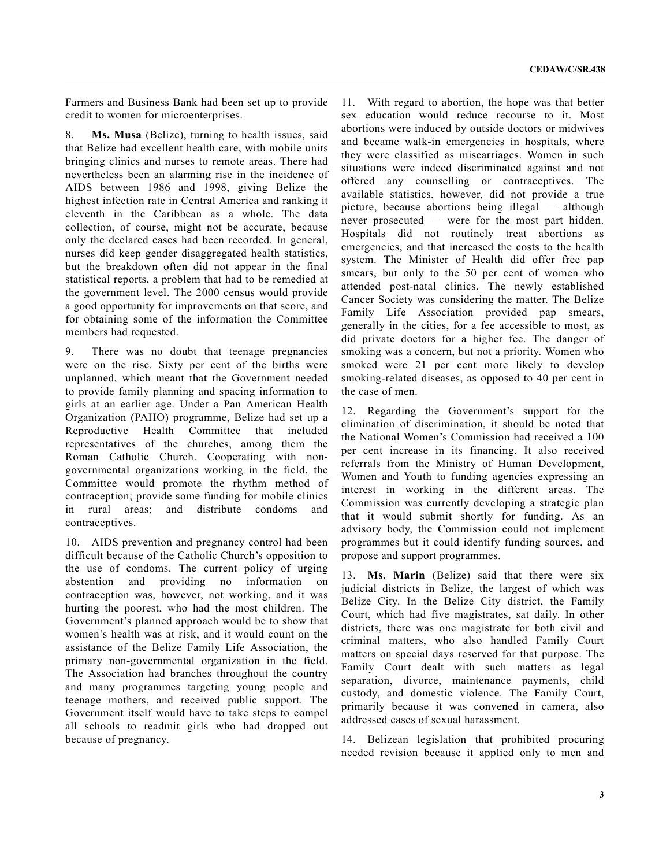Farmers and Business Bank had been set up to provide credit to women for microenterprises.

8. **Ms. Musa** (Belize), turning to health issues, said that Belize had excellent health care, with mobile units bringing clinics and nurses to remote areas. There had nevertheless been an alarming rise in the incidence of AIDS between 1986 and 1998, giving Belize the highest infection rate in Central America and ranking it eleventh in the Caribbean as a whole. The data collection, of course, might not be accurate, because only the declared cases had been recorded. In general, nurses did keep gender disaggregated health statistics, but the breakdown often did not appear in the final statistical reports, a problem that had to be remedied at the government level. The 2000 census would provide a good opportunity for improvements on that score, and for obtaining some of the information the Committee members had requested.

9. There was no doubt that teenage pregnancies were on the rise. Sixty per cent of the births were unplanned, which meant that the Government needed to provide family planning and spacing information to girls at an earlier age. Under a Pan American Health Organization (PAHO) programme, Belize had set up a Reproductive Health Committee that included representatives of the churches, among them the Roman Catholic Church. Cooperating with nongovernmental organizations working in the field, the Committee would promote the rhythm method of contraception; provide some funding for mobile clinics in rural areas; and distribute condoms and contraceptives.

10. AIDS prevention and pregnancy control had been difficult because of the Catholic Church's opposition to the use of condoms. The current policy of urging abstention and providing no information on contraception was, however, not working, and it was hurting the poorest, who had the most children. The Government's planned approach would be to show that women's health was at risk, and it would count on the assistance of the Belize Family Life Association, the primary non-governmental organization in the field. The Association had branches throughout the country and many programmes targeting young people and teenage mothers, and received public support. The Government itself would have to take steps to compel all schools to readmit girls who had dropped out because of pregnancy.

11. With regard to abortion, the hope was that better sex education would reduce recourse to it. Most abortions were induced by outside doctors or midwives and became walk-in emergencies in hospitals, where they were classified as miscarriages. Women in such situations were indeed discriminated against and not offered any counselling or contraceptives. The available statistics, however, did not provide a true picture, because abortions being illegal — although never prosecuted — were for the most part hidden. Hospitals did not routinely treat abortions as emergencies, and that increased the costs to the health system. The Minister of Health did offer free pap smears, but only to the 50 per cent of women who attended post-natal clinics. The newly established Cancer Society was considering the matter. The Belize Family Life Association provided pap smears, generally in the cities, for a fee accessible to most, as did private doctors for a higher fee. The danger of smoking was a concern, but not a priority. Women who smoked were 21 per cent more likely to develop smoking-related diseases, as opposed to 40 per cent in the case of men.

12. Regarding the Government's support for the elimination of discrimination, it should be noted that the National Women's Commission had received a 100 per cent increase in its financing. It also received referrals from the Ministry of Human Development, Women and Youth to funding agencies expressing an interest in working in the different areas. The Commission was currently developing a strategic plan that it would submit shortly for funding. As an advisory body, the Commission could not implement programmes but it could identify funding sources, and propose and support programmes.

13. **Ms. Marin** (Belize) said that there were six judicial districts in Belize, the largest of which was Belize City. In the Belize City district, the Family Court, which had five magistrates, sat daily. In other districts, there was one magistrate for both civil and criminal matters, who also handled Family Court matters on special days reserved for that purpose. The Family Court dealt with such matters as legal separation, divorce, maintenance payments, child custody, and domestic violence. The Family Court, primarily because it was convened in camera, also addressed cases of sexual harassment.

14. Belizean legislation that prohibited procuring needed revision because it applied only to men and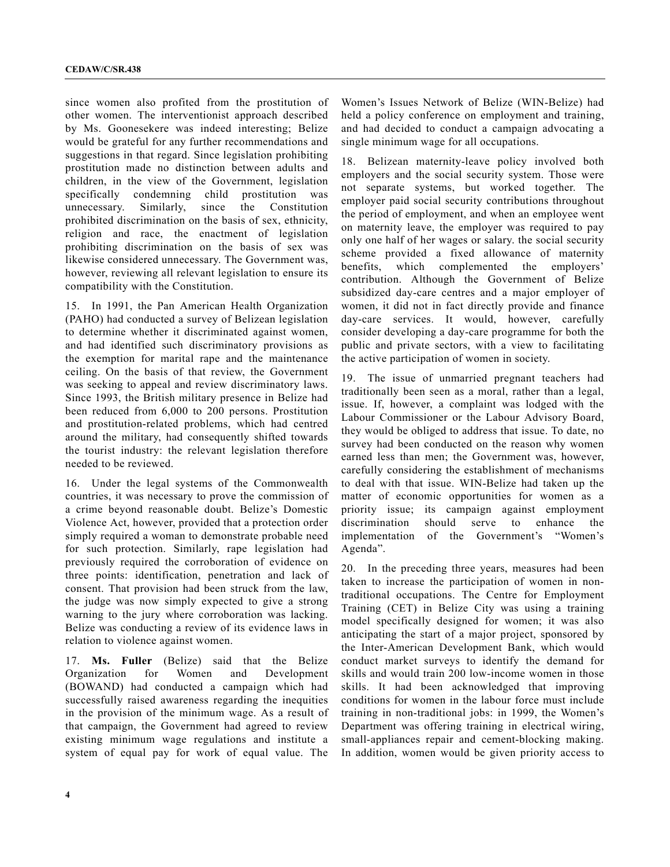since women also profited from the prostitution of other women. The interventionist approach described by Ms. Goonesekere was indeed interesting; Belize would be grateful for any further recommendations and suggestions in that regard. Since legislation prohibiting prostitution made no distinction between adults and children, in the view of the Government, legislation specifically condemning child prostitution was unnecessary. Similarly, since the Constitution prohibited discrimination on the basis of sex, ethnicity, religion and race, the enactment of legislation prohibiting discrimination on the basis of sex was likewise considered unnecessary. The Government was, however, reviewing all relevant legislation to ensure its compatibility with the Constitution.

15. In 1991, the Pan American Health Organization (PAHO) had conducted a survey of Belizean legislation to determine whether it discriminated against women, and had identified such discriminatory provisions as the exemption for marital rape and the maintenance ceiling. On the basis of that review, the Government was seeking to appeal and review discriminatory laws. Since 1993, the British military presence in Belize had been reduced from 6,000 to 200 persons. Prostitution and prostitution-related problems, which had centred around the military, had consequently shifted towards the tourist industry: the relevant legislation therefore needed to be reviewed.

16. Under the legal systems of the Commonwealth countries, it was necessary to prove the commission of a crime beyond reasonable doubt. Belize's Domestic Violence Act, however, provided that a protection order simply required a woman to demonstrate probable need for such protection. Similarly, rape legislation had previously required the corroboration of evidence on three points: identification, penetration and lack of consent. That provision had been struck from the law, the judge was now simply expected to give a strong warning to the jury where corroboration was lacking. Belize was conducting a review of its evidence laws in relation to violence against women.

17. **Ms. Fuller** (Belize) said that the Belize Organization for Women and Development (BOWAND) had conducted a campaign which had successfully raised awareness regarding the inequities in the provision of the minimum wage. As a result of that campaign, the Government had agreed to review existing minimum wage regulations and institute a system of equal pay for work of equal value. The

Women's Issues Network of Belize (WIN-Belize) had held a policy conference on employment and training, and had decided to conduct a campaign advocating a single minimum wage for all occupations.

18. Belizean maternity-leave policy involved both employers and the social security system. Those were not separate systems, but worked together. The employer paid social security contributions throughout the period of employment, and when an employee went on maternity leave, the employer was required to pay only one half of her wages or salary. the social security scheme provided a fixed allowance of maternity benefits, which complemented the employers' contribution. Although the Government of Belize subsidized day-care centres and a major employer of women, it did not in fact directly provide and finance day-care services. It would, however, carefully consider developing a day-care programme for both the public and private sectors, with a view to facilitating the active participation of women in society.

19. The issue of unmarried pregnant teachers had traditionally been seen as a moral, rather than a legal, issue. If, however, a complaint was lodged with the Labour Commissioner or the Labour Advisory Board, they would be obliged to address that issue. To date, no survey had been conducted on the reason why women earned less than men; the Government was, however, carefully considering the establishment of mechanisms to deal with that issue. WIN-Belize had taken up the matter of economic opportunities for women as a priority issue; its campaign against employment discrimination should serve to enhance the implementation of the Government's "Women's Agenda".

20. In the preceding three years, measures had been taken to increase the participation of women in nontraditional occupations. The Centre for Employment Training (CET) in Belize City was using a training model specifically designed for women; it was also anticipating the start of a major project, sponsored by the Inter-American Development Bank, which would conduct market surveys to identify the demand for skills and would train 200 low-income women in those skills. It had been acknowledged that improving conditions for women in the labour force must include training in non-traditional jobs: in 1999, the Women's Department was offering training in electrical wiring, small-appliances repair and cement-blocking making. In addition, women would be given priority access to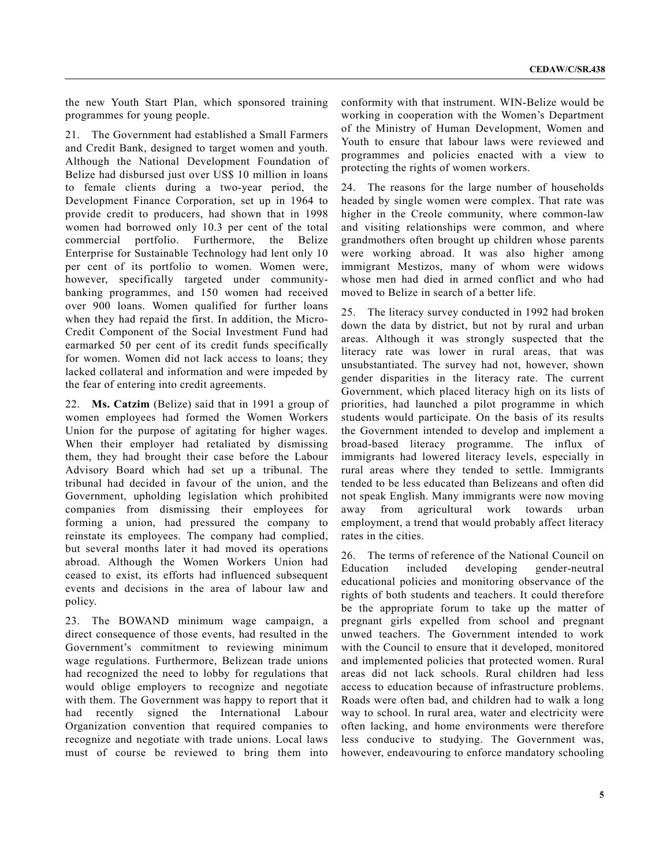the new Youth Start Plan, which sponsored training programmes for young people.

21. The Government had established a Small Farmers and Credit Bank, designed to target women and youth. Although the National Development Foundation of Belize had disbursed just over US\$ 10 million in loans to female clients during a two-year period, the Development Finance Corporation, set up in 1964 to provide credit to producers, had shown that in 1998 women had borrowed only 10.3 per cent of the total commercial portfolio. Furthermore, the Belize Enterprise for Sustainable Technology had lent only 10 per cent of its portfolio to women. Women were, however, specifically targeted under communitybanking programmes, and 150 women had received over 900 loans. Women qualified for further loans when they had repaid the first. In addition, the Micro-Credit Component of the Social Investment Fund had earmarked 50 per cent of its credit funds specifically for women. Women did not lack access to loans; they lacked collateral and information and were impeded by the fear of entering into credit agreements.

22. **Ms. Catzim** (Belize) said that in 1991 a group of women employees had formed the Women Workers Union for the purpose of agitating for higher wages. When their employer had retaliated by dismissing them, they had brought their case before the Labour Advisory Board which had set up a tribunal. The tribunal had decided in favour of the union, and the Government, upholding legislation which prohibited companies from dismissing their employees for forming a union, had pressured the company to reinstate its employees. The company had complied, but several months later it had moved its operations abroad. Although the Women Workers Union had ceased to exist, its efforts had influenced subsequent events and decisions in the area of labour law and policy.

23. The BOWAND minimum wage campaign, a direct consequence of those events, had resulted in the Government's commitment to reviewing minimum wage regulations. Furthermore, Belizean trade unions had recognized the need to lobby for regulations that would oblige employers to recognize and negotiate with them. The Government was happy to report that it had recently signed the International Labour Organization convention that required companies to recognize and negotiate with trade unions. Local laws must of course be reviewed to bring them into

conformity with that instrument. WIN-Belize would be working in cooperation with the Women's Department of the Ministry of Human Development, Women and Youth to ensure that labour laws were reviewed and programmes and policies enacted with a view to protecting the rights of women workers.

24. The reasons for the large number of households headed by single women were complex. That rate was higher in the Creole community, where common-law and visiting relationships were common, and where grandmothers often brought up children whose parents were working abroad. It was also higher among immigrant Mestizos, many of whom were widows whose men had died in armed conflict and who had moved to Belize in search of a better life.

25. The literacy survey conducted in 1992 had broken down the data by district, but not by rural and urban areas. Although it was strongly suspected that the literacy rate was lower in rural areas, that was unsubstantiated. The survey had not, however, shown gender disparities in the literacy rate. The current Government, which placed literacy high on its lists of priorities, had launched a pilot programme in which students would participate. On the basis of its results the Government intended to develop and implement a broad-based literacy programme. The influx of immigrants had lowered literacy levels, especially in rural areas where they tended to settle. Immigrants tended to be less educated than Belizeans and often did not speak English. Many immigrants were now moving away from agricultural work towards urban employment, a trend that would probably affect literacy rates in the cities.

26. The terms of reference of the National Council on Education included developing gender-neutral educational policies and monitoring observance of the rights of both students and teachers. It could therefore be the appropriate forum to take up the matter of pregnant girls expelled from school and pregnant unwed teachers. The Government intended to work with the Council to ensure that it developed, monitored and implemented policies that protected women. Rural areas did not lack schools. Rural children had less access to education because of infrastructure problems. Roads were often bad, and children had to walk a long way to school. In rural area, water and electricity were often lacking, and home environments were therefore less conducive to studying. The Government was, however, endeavouring to enforce mandatory schooling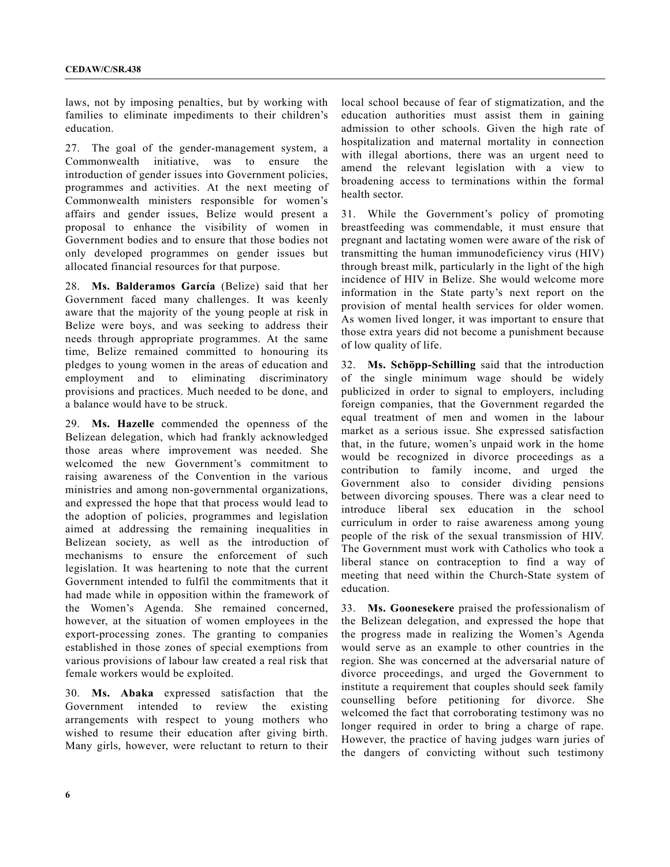laws, not by imposing penalties, but by working with families to eliminate impediments to their children's education.

27. The goal of the gender-management system, a Commonwealth initiative, was to ensure the introduction of gender issues into Government policies, programmes and activities. At the next meeting of Commonwealth ministers responsible for women's affairs and gender issues, Belize would present a proposal to enhance the visibility of women in Government bodies and to ensure that those bodies not only developed programmes on gender issues but allocated financial resources for that purpose.

28. **Ms. Balderamos García** (Belize) said that her Government faced many challenges. It was keenly aware that the majority of the young people at risk in Belize were boys, and was seeking to address their needs through appropriate programmes. At the same time, Belize remained committed to honouring its pledges to young women in the areas of education and employment and to eliminating discriminatory provisions and practices. Much needed to be done, and a balance would have to be struck.

29. **Ms. Hazelle** commended the openness of the Belizean delegation, which had frankly acknowledged those areas where improvement was needed. She welcomed the new Government's commitment to raising awareness of the Convention in the various ministries and among non-governmental organizations, and expressed the hope that that process would lead to the adoption of policies, programmes and legislation aimed at addressing the remaining inequalities in Belizean society, as well as the introduction of mechanisms to ensure the enforcement of such legislation. It was heartening to note that the current Government intended to fulfil the commitments that it had made while in opposition within the framework of the Women's Agenda. She remained concerned, however, at the situation of women employees in the export-processing zones. The granting to companies established in those zones of special exemptions from various provisions of labour law created a real risk that female workers would be exploited.

30. **Ms. Abaka** expressed satisfaction that the Government intended to review the existing arrangements with respect to young mothers who wished to resume their education after giving birth. Many girls, however, were reluctant to return to their

local school because of fear of stigmatization, and the education authorities must assist them in gaining admission to other schools. Given the high rate of hospitalization and maternal mortality in connection with illegal abortions, there was an urgent need to amend the relevant legislation with a view to broadening access to terminations within the formal health sector.

31. While the Government's policy of promoting breastfeeding was commendable, it must ensure that pregnant and lactating women were aware of the risk of transmitting the human immunodeficiency virus (HIV) through breast milk, particularly in the light of the high incidence of HIV in Belize. She would welcome more information in the State party's next report on the provision of mental health services for older women. As women lived longer, it was important to ensure that those extra years did not become a punishment because of low quality of life.

32. **Ms. Schöpp-Schilling** said that the introduction of the single minimum wage should be widely publicized in order to signal to employers, including foreign companies, that the Government regarded the equal treatment of men and women in the labour market as a serious issue. She expressed satisfaction that, in the future, women's unpaid work in the home would be recognized in divorce proceedings as a contribution to family income, and urged the Government also to consider dividing pensions between divorcing spouses. There was a clear need to introduce liberal sex education in the school curriculum in order to raise awareness among young people of the risk of the sexual transmission of HIV. The Government must work with Catholics who took a liberal stance on contraception to find a way of meeting that need within the Church-State system of education.

33. **Ms. Goonesekere** praised the professionalism of the Belizean delegation, and expressed the hope that the progress made in realizing the Women's Agenda would serve as an example to other countries in the region. She was concerned at the adversarial nature of divorce proceedings, and urged the Government to institute a requirement that couples should seek family counselling before petitioning for divorce. She welcomed the fact that corroborating testimony was no longer required in order to bring a charge of rape. However, the practice of having judges warn juries of the dangers of convicting without such testimony